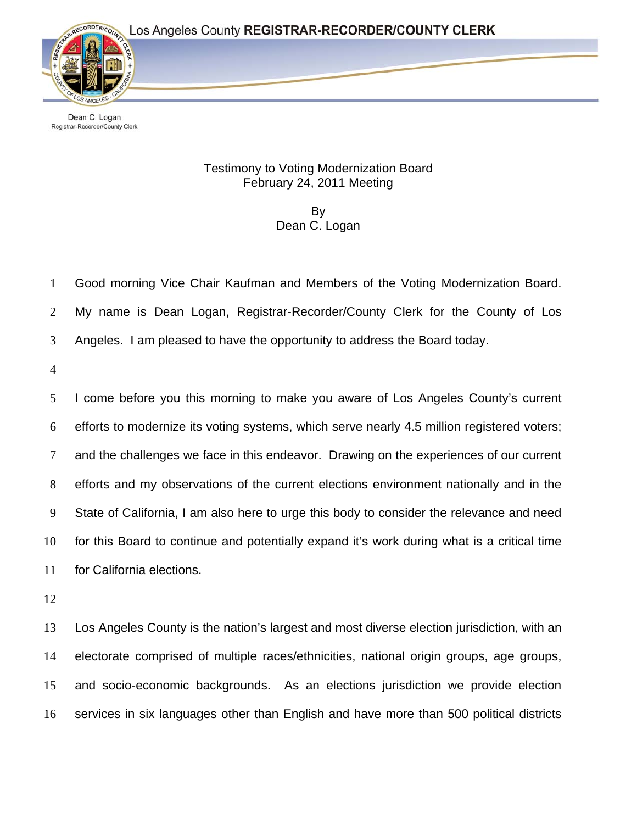

Dean C. Logan Registrar-Recorder/County Clerk

## Testimony to Voting Modernization Board February 24, 2011 Meeting

By Dean C. Logan

1 Good morning Vice Chair Kaufman and Members of the Voting Modernization Board.

2 My name is Dean Logan, Registrar-Recorder/County Clerk for the County of Los

3 Angeles. I am pleased to have the opportunity to address the Board today.

4

5 6 7 8 9 10 11 I come before you this morning to make you aware of Los Angeles County's current efforts to modernize its voting systems, which serve nearly 4.5 million registered voters; and the challenges we face in this endeavor. Drawing on the experiences of our current efforts and my observations of the current elections environment nationally and in the State of California, I am also here to urge this body to consider the relevance and need for this Board to continue and potentially expand it's work during what is a critical time for California elections.

12

13 14 15 16 Los Angeles County is the nation's largest and most diverse election jurisdiction, with an electorate comprised of multiple races/ethnicities, national origin groups, age groups, and socio-economic backgrounds. As an elections jurisdiction we provide election services in six languages other than English and have more than 500 political districts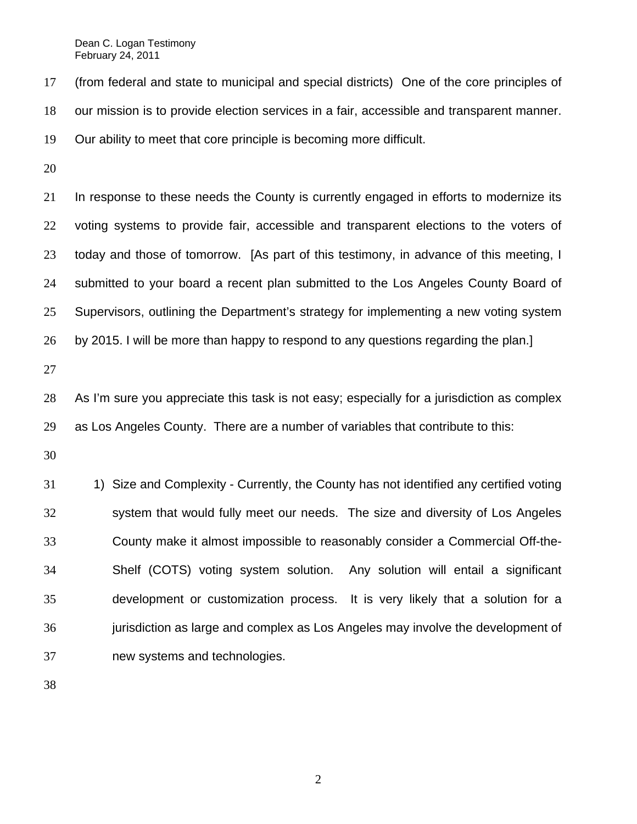17 18 19 (from federal and state to municipal and special districts) One of the core principles of our mission is to provide election services in a fair, accessible and transparent manner. Our ability to meet that core principle is becoming more difficult.

20

21 22 23 24 25 26 In response to these needs the County is currently engaged in efforts to modernize its voting systems to provide fair, accessible and transparent elections to the voters of today and those of tomorrow. [As part of this testimony, in advance of this meeting, I submitted to your board a recent plan submitted to the Los Angeles County Board of Supervisors, outlining the Department's strategy for implementing a new voting system by 2015. I will be more than happy to respond to any questions regarding the plan.]

27

28 29 As I'm sure you appreciate this task is not easy; especially for a jurisdiction as complex as Los Angeles County. There are a number of variables that contribute to this:

30

31 32 33 34 35 36 37 1) Size and Complexity - Currently, the County has not identified any certified voting system that would fully meet our needs. The size and diversity of Los Angeles County make it almost impossible to reasonably consider a Commercial Off-the-Shelf (COTS) voting system solution. Any solution will entail a significant development or customization process. It is very likely that a solution for a jurisdiction as large and complex as Los Angeles may involve the development of new systems and technologies.

38

2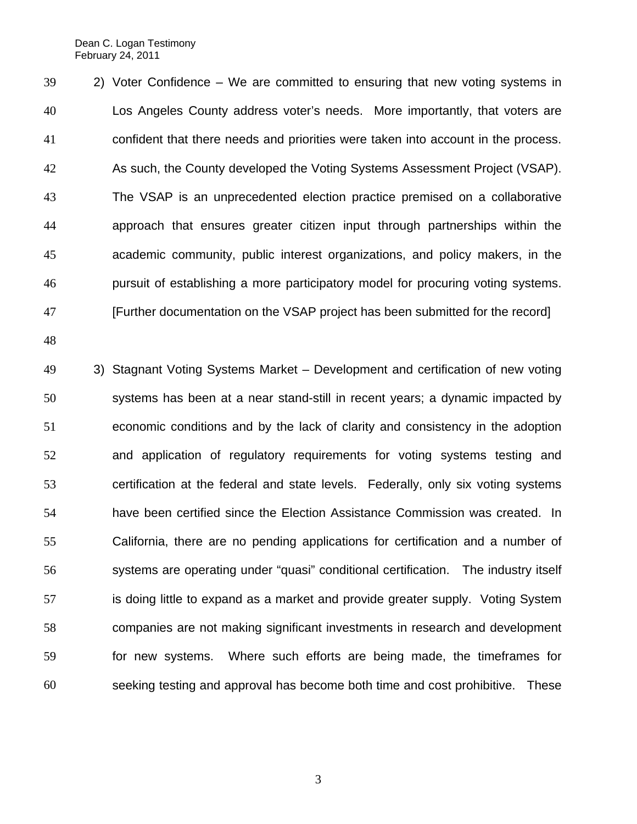39 40 41 42 43 44 45 46 47 2) Voter Confidence – We are committed to ensuring that new voting systems in Los Angeles County address voter's needs. More importantly, that voters are confident that there needs and priorities were taken into account in the process. As such, the County developed the Voting Systems Assessment Project (VSAP). The VSAP is an unprecedented election practice premised on a collaborative approach that ensures greater citizen input through partnerships within the academic community, public interest organizations, and policy makers, in the pursuit of establishing a more participatory model for procuring voting systems. [Further documentation on the VSAP project has been submitted for the record]

48

49 50 51 52 53 54 55 56 57 58 59 60 3) Stagnant Voting Systems Market – Development and certification of new voting systems has been at a near stand-still in recent years; a dynamic impacted by economic conditions and by the lack of clarity and consistency in the adoption and application of regulatory requirements for voting systems testing and certification at the federal and state levels. Federally, only six voting systems have been certified since the Election Assistance Commission was created. In California, there are no pending applications for certification and a number of systems are operating under "quasi" conditional certification. The industry itself is doing little to expand as a market and provide greater supply. Voting System companies are not making significant investments in research and development for new systems. Where such efforts are being made, the timeframes for seeking testing and approval has become both time and cost prohibitive. These

3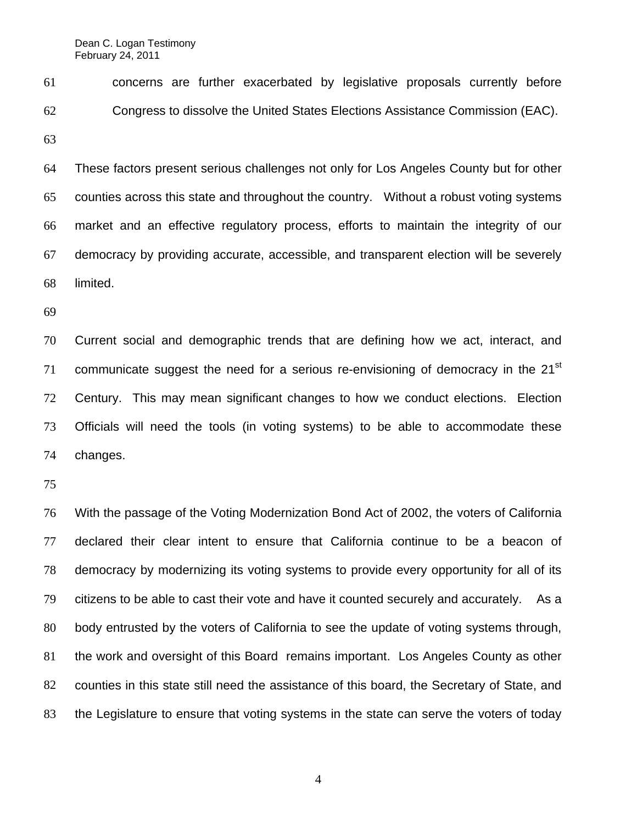61 62 concerns are further exacerbated by legislative proposals currently before Congress to dissolve the United States Elections Assistance Commission (EAC).

63

64 65 66 67 68 These factors present serious challenges not only for Los Angeles County but for other counties across this state and throughout the country. Without a robust voting systems market and an effective regulatory process, efforts to maintain the integrity of our democracy by providing accurate, accessible, and transparent election will be severely limited.

69

70 71 72 73 74 Current social and demographic trends that are defining how we act, interact, and communicate suggest the need for a serious re-envisioning of democracy in the 21<sup>st</sup> Century. This may mean significant changes to how we conduct elections. Election Officials will need the tools (in voting systems) to be able to accommodate these changes.

75

76 77 78 79 80 81 82 83 With the passage of the Voting Modernization Bond Act of 2002, the voters of California declared their clear intent to ensure that California continue to be a beacon of democracy by modernizing its voting systems to provide every opportunity for all of its citizens to be able to cast their vote and have it counted securely and accurately. As a body entrusted by the voters of California to see the update of voting systems through, the work and oversight of this Board remains important. Los Angeles County as other counties in this state still need the assistance of this board, the Secretary of State, and the Legislature to ensure that voting systems in the state can serve the voters of today

4